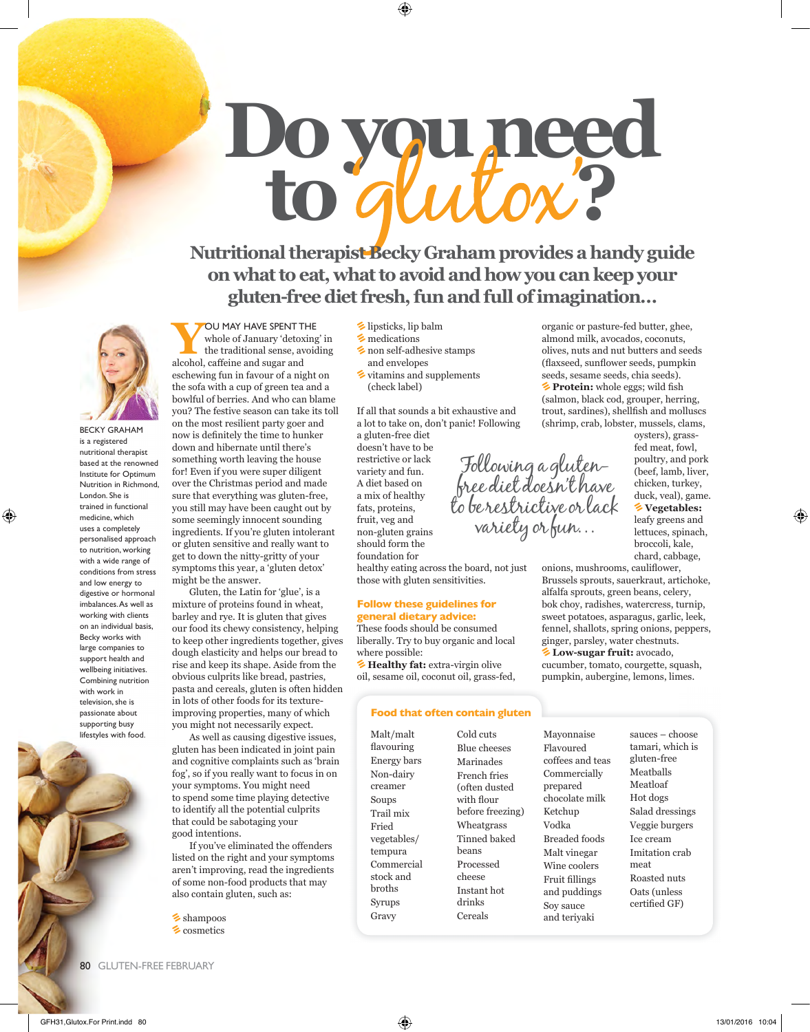# **Do you need to ?**

**Nutritional therapist Becky Graham provides a handy guide on what to eat, what to avoid and how you can keep your gluten-free diet fresh, fun and full of imagination…**



BECKY GRAHAM is a registered nutritional therapist based at the renowned Institute for Optimum Nutrition in Richmond, London. She is trained in functional medicine, which uses a completely personalised approach to nutrition, working with a wide range of conditions from stress and low energy to digestive or hormonal imbalances. As well as working with clients on an individual basis, Becky works with large companies to support health and wellbeing initiatives. Combining nutrition with work in television, she is passionate about supporting busy lifestyles with food.



## **YOU MAY HAVE SPENT THE**<br>the traditional sense, avoiding<br>elected actions and sures and whole of January 'detoxing' in

alcohol, caffeine and sugar and eschewing fun in favour of a night on the sofa with a cup of green tea and a bowlful of berries. And who can blame you? The festive season can take its toll on the most resilient party goer and now is definitely the time to hunker down and hibernate until there's something worth leaving the house for! Even if you were super diligent over the Christmas period and made sure that everything was gluten-free, you still may have been caught out by some seemingly innocent sounding ingredients. If you're gluten intolerant or gluten sensitive and really want to get to down the nitty-gritty of your symptoms this year, a 'gluten detox' might be the answer.

Gluten, the Latin for 'glue', is a mixture of proteins found in wheat, barley and rye. It is gluten that gives our food its chewy consistency, helping to keep other ingredients together, gives dough elasticity and helps our bread to rise and keep its shape. Aside from the obvious culprits like bread, pastries, pasta and cereals, gluten is often hidden in lots of other foods for its textureimproving properties, many of which you might not necessarily expect.

As well as causing digestive issues, gluten has been indicated in joint pain and cognitive complaints such as 'brain fog', so if you really want to focus in on your symptoms. You might need to spend some time playing detective to identify all the potential culprits that could be sabotaging your good intentions.

If you've eliminated the offenders listed on the right and your symptoms aren't improving, read the ingredients of some non-food products that may also contain gluten, such as:

shampoos **E** cosmetics

- $\blacktriangleright$  lipsticks, lip balm
- $\blacktriangleright$  medications
- non self-adhesive stamps and envelopes
- $\blacktriangleright$  vitamins and supplements (check label)

If all that sounds a bit exhaustive and a lot to take on, don't panic! Following

> Following a glutenfree diet doesn't have

to be restrictive or lack variety or fun…

a gluten-free diet doesn't have to be restrictive or lack variety and fun. A diet based on a mix of healthy fats, proteins, fruit, veg and non-gluten grains should form the foundation for healthy eating across the board, not just those with gluten sensitivities.

#### **Follow these guidelines for general dietary advice:**

These foods should be consumed liberally. Try to buy organic and local where possible:

**Extra-virgin olive** oil, sesame oil, coconut oil, grass-fed,

#### **Food that often contain gluten**

Malt/malt flavouring Energy bars Non-dairy creamer Soups Trail mix Fried vegetables/ tempura Commercial stock and broths Syrups Gravy

Cold cuts Blue cheeses Marinades French fries (often dusted with flour before freezing) Wheatgrass Tinned baked beans Processed cheese Instant hot drinks Cereals

Mayonnaise Flavoured coffees and teas Commercially prepared chocolate milk Ketchup Vodka Breaded foods Malt vinegar Wine coolers Fruit fillings and puddings Soy sauce and teriyaki

organic or pasture-fed butter, ghee, almond milk, avocados, coconuts, olives, nuts and nut butters and seeds (flaxseed, sunflower seeds, pumpkin seeds, sesame seeds, chia seeds). **Protein:** whole eggs; wild fish (salmon, black cod, grouper, herring, trout, sardines), shellfish and molluscs (shrimp, crab, lobster, mussels, clams,

oysters), grassfed meat, fowl, poultry, and pork (beef, lamb, liver, chicken, turkey, duck, veal), game. **Vegetables:** leafy greens and lettuces, spinach, broccoli, kale,

chard, cabbage,

onions, mushrooms, cauliflower, Brussels sprouts, sauerkraut, artichoke, alfalfa sprouts, green beans, celery, bok choy, radishes, watercress, turnip, sweet potatoes, asparagus, garlic, leek, fennel, shallots, spring onions, peppers, ginger, parsley, water chestnuts. **Low-sugar fruit:** avocado, cucumber, tomato, courgette, squash, pumpkin, aubergine, lemons, limes.

> sauces – choose tamari, which is gluten-free Meatballs Meatloaf Hot dogs Salad dressings Veggie burgers Ice cream Imitation crab meat Roasted nuts Oats (unless certified GF)